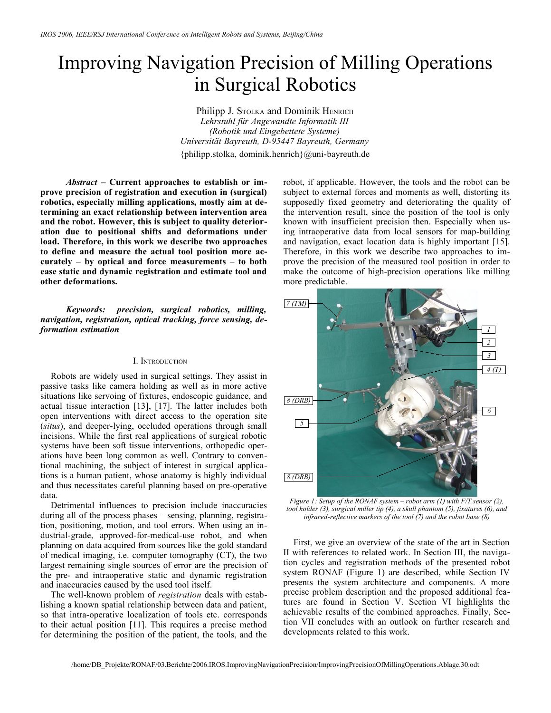# Improving Navigation Precision of Milling Operations in Surgical Robotics

Philipp J. STOLKA and Dominik HENRICH *Lehrstuhl für Angewandte Informatik III (Robotik und Eingebettete Systeme) Universität Bayreuth, D-95447 Bayreuth, Germany* {philipp.stolka, dominik.henrich}@uni-bayreuth.de

*Abstract –* **Current approaches to establish or improve precision of registration and execution in (surgical) robotics, especially milling applications, mostly aim at determining an exact relationship between intervention area and the robot. However, this is subject to quality deterioration due to positional shifts and deformations under load. Therefore, in this work we describe two approaches to define and measure the actual tool position more accurately – by optical and force measurements – to both ease static and dynamic registration and estimate tool and other deformations.**

*Keywords: precision, surgical robotics, milling, navigation, registration, optical tracking, force sensing, deformation estimation*

## I. INTRODUCTION

Robots are widely used in surgical settings. They assist in passive tasks like camera holding as well as in more active situations like servoing of fixtures, endoscopic guidance, and actual tissue interaction [13], [17]. The latter includes both open interventions with direct access to the operation site (*situs*), and deeper-lying, occluded operations through small incisions. While the first real applications of surgical robotic systems have been soft tissue interventions, orthopedic operations have been long common as well. Contrary to conventional machining, the subject of interest in surgical applications is a human patient, whose anatomy is highly individual and thus necessitates careful planning based on pre-operative data.

Detrimental influences to precision include inaccuracies during all of the process phases – sensing, planning, registration, positioning, motion, and tool errors. When using an industrial-grade, approved-for-medical-use robot, and when planning on data acquired from sources like the gold standard of medical imaging, i.e. computer tomography (CT), the two largest remaining single sources of error are the precision of the pre- and intraoperative static and dynamic registration and inaccuracies caused by the used tool itself.

The well-known problem of *registration* deals with establishing a known spatial relationship between data and patient, so that intra-operative localization of tools etc. corresponds to their actual position [11]. This requires a precise method for determining the position of the patient, the tools, and the robot, if applicable. However, the tools and the robot can be subject to external forces and moments as well, distorting its supposedly fixed geometry and deteriorating the quality of the intervention result, since the position of the tool is only known with insufficient precision then. Especially when using intraoperative data from local sensors for map-building and navigation, exact location data is highly important [15]. Therefore, in this work we describe two approaches to improve the precision of the measured tool position in order to make the outcome of high-precision operations like milling more predictable.



<span id="page-0-0"></span>*Figure 1: Setup of the RONAF system – robot arm (1) with F/T sensor (2), tool holder (3), surgical miller tip (4), a skull phantom (5), fixatures (6), and infrared-reflective markers of the tool (7) and the robot base (8)*

First, we give an overview of the state of the art in Section II with references to related work. In Section III, the navigation cycles and registration methods of the presented robot system RONAF ([Figure](#page-0-0) 1) are described, while Section IV presents the system architecture and components. A more precise problem description and the proposed additional features are found in Section V. Section VI highlights the achievable results of the combined approaches. Finally, Section VII concludes with an outlook on further research and developments related to this work.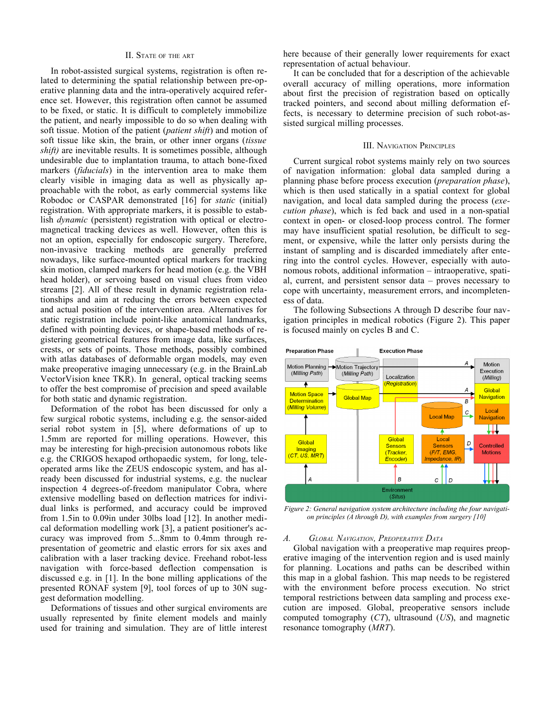## II. STATE OF THE ART

In robot-assisted surgical systems, registration is often related to determining the spatial relationship between pre-operative planning data and the intra-operatively acquired reference set. However, this registration often cannot be assumed to be fixed, or static. It is difficult to completely immobilize the patient, and nearly impossible to do so when dealing with soft tissue. Motion of the patient (*patient shift*) and motion of soft tissue like skin, the brain, or other inner organs (*tissue shift*) are inevitable results. It is sometimes possible, although undesirable due to implantation trauma, to attach bone-fixed markers (*fiducials*) in the intervention area to make them clearly visible in imaging data as well as physically approachable with the robot, as early commercial systems like Robodoc or CASPAR demonstrated [16] for *static* (initial) registration. With appropriate markers, it is possible to establish *dynamic* (persistent) registration with optical or electromagnetical tracking devices as well. However, often this is not an option, especially for endoscopic surgery. Therefore, non-invasive tracking methods are generally preferred nowadays, like surface-mounted optical markers for tracking skin motion, clamped markers for head motion (e.g. the VBH head holder), or servoing based on visual clues from video streams [2]. All of these result in dynamic registration relationships and aim at reducing the errors between expected and actual position of the intervention area. Alternatives for static registration include point-like anatomical landmarks, defined with pointing devices, or shape-based methods of registering geometrical features from image data, like surfaces, crests, or sets of points. Those methods, possibly combined with atlas databases of deformable organ models, may even make preoperative imaging unnecessary (e.g. in the BrainLab VectorVision knee TKR). In general, optical tracking seems to offer the best compromise of precision and speed available for both static and dynamic registration.

Deformation of the robot has been discussed for only a few surgical robotic systems, including e.g. the sensor-aided serial robot system in [5], where deformations of up to 1.5mm are reported for milling operations. However, this may be interesting for high-precision autonomous robots like e.g. the CRIGOS hexapod orthopaedic system, for long, teleoperated arms like the ZEUS endoscopic system, and has already been discussed for industrial systems, e.g. the nuclear inspection 4 degrees-of-freedom manipulator Cobra, where extensive modelling based on deflection matrices for individual links is performed, and accuracy could be improved from 1.5in to 0.09in under 30lbs load [12]. In another medical deformation modelling work [3], a patient positioner's accuracy was improved from 5...8mm to 0.4mm through representation of geometric and elastic errors for six axes and calibration with a laser tracking device. Freehand robot-less navigation with force-based deflection compensation is discussed e.g. in [1]. In the bone milling applications of the presented RONAF system [9], tool forces of up to 30N suggest deformation modelling.

Deformations of tissues and other surgical enviroments are usually represented by finite element models and mainly used for training and simulation. They are of little interest here because of their generally lower requirements for exact representation of actual behaviour.

It can be concluded that for a description of the achievable overall accuracy of milling operations, more information about first the precision of registration based on optically tracked pointers, and second about milling deformation effects, is necessary to determine precision of such robot-assisted surgical milling processes.

## III. NAVIGATION PRINCIPLES

Current surgical robot systems mainly rely on two sources of navigation information: global data sampled during a planning phase before process execution (*preparation phase*), which is then used statically in a spatial context for global navigation, and local data sampled during the process (*execution phase*), which is fed back and used in a non-spatial context in open- or closed-loop process control. The former may have insufficient spatial resolution, be difficult to segment, or expensive, while the latter only persists during the instant of sampling and is discarded immediately after entering into the control cycles. However, especially with autonomous robots, additional information – intraoperative, spatial, current, and persistent sensor data – proves necessary to cope with uncertainty, measurement errors, and incompleteness of data.

The following Subsections A through D describe four navigation principles in medical robotics ([Figure](#page-1-0) 2). This paper is focused mainly on cycles B and C.



<span id="page-1-0"></span>*Figure 2: General navigation system architecture including the four navigation principles (A through D), with examples from surgery [10]*

#### *A. GLOBAL NAVIGATION, PREOPERATIVE DATA*

Global navigation with a preoperative map requires preoperative imaging of the intervention region and is used mainly for planning. Locations and paths can be described within this map in a global fashion. This map needs to be registered with the environment before process execution. No strict temporal restrictions between data sampling and process execution are imposed. Global, preoperative sensors include computed tomography (*CT*), ultrasound (*US*), and magnetic resonance tomography (*MRT*).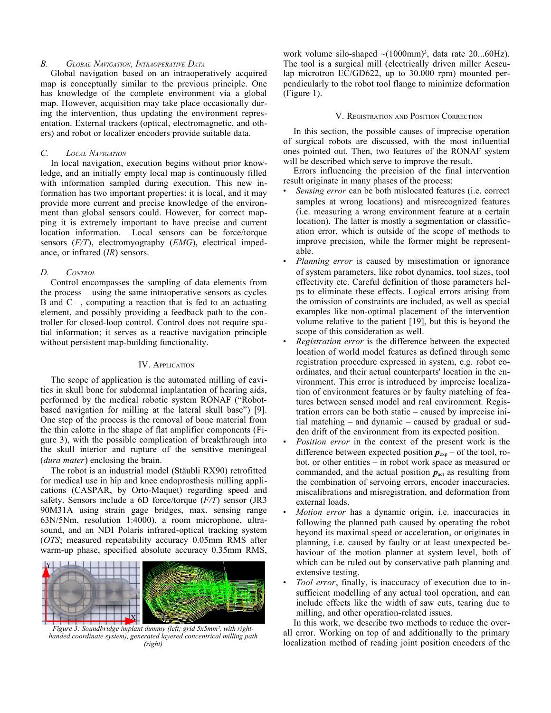## *B. GLOBAL NAVIGATION, INTRAOPERATIVE DATA*

Global navigation based on an intraoperatively acquired map is conceptually similar to the previous principle. One has knowledge of the complete environment via a global map. However, acquisition may take place occasionally during the intervention, thus updating the environment representation. External trackers (optical, electromagnetic, and others) and robot or localizer encoders provide suitable data.

# *C. LOCAL NAVIGATION*

In local navigation, execution begins without prior knowledge, and an initially empty local map is continuously filled with information sampled during execution. This new information has two important properties: it is local, and it may provide more current and precise knowledge of the environment than global sensors could. However, for correct mapping it is extremely important to have precise and current location information. Local sensors can be force/torque sensors (*F/T*), electromyography (*EMG*), electrical impedance, or infrared (*IR*) sensors.

## *D. CONTROL*

Control encompasses the sampling of data elements from the process – using the same intraoperative sensors as cycles B and  $C$  –, computing a reaction that is fed to an actuating element, and possibly providing a feedback path to the controller for closed-loop control. Control does not require spatial information; it serves as a reactive navigation principle without persistent map-building functionality.

## IV. APPLICATION

The scope of application is the automated milling of cavities in skull bone for subdermal implantation of hearing aids, performed by the medical robotic system RONAF ("Robotbased navigation for milling at the lateral skull base") [9]. One step of the process is the removal of bone material from the thin calotte in the shape of flat amplifier components ([Fi](#page-2-0)[gure](#page-2-0) 3), with the possible complication of breakthrough into the skull interior and rupture of the sensitive meningeal (*dura mater*) enclosing the brain.

The robot is an industrial model (Stäubli RX90) retrofitted for medical use in hip and knee endoprosthesis milling applications (CASPAR, by Orto-Maquet) regarding speed and safety. Sensors include a 6D force/torque (*F/T*) sensor (JR3 90M31A using strain gage bridges, max. sensing range 63N/5Nm, resolution 1:4000), a room microphone, ultrasound, and an NDI Polaris infrared-optical tracking system (*OTS*; measured repeatability accuracy 0.05mm RMS after warm-up phase, specified absolute accuracy 0.35mm RMS,



<span id="page-2-0"></span>*Figure 3: Soundbridge implant dummy (left; grid 5x5mm², with righthanded coordinate system), generated layered concentrical milling path (right)*

work volume silo-shaped  $\sim$ (1000mm)<sup>3</sup>, data rate 20...60Hz). The tool is a surgical mill (electrically driven miller Aesculap microtron EC/GD622, up to 30.000 rpm) mounted perpendicularly to the robot tool flange to minimize deformation [\(Figure](#page-0-0) 1).

#### V. REGISTRATION AND POSITION CORRECTION

In this section, the possible causes of imprecise operation of surgical robots are discussed, with the most influential ones pointed out. Then, two features of the RONAF system will be described which serve to improve the result.

Errors influencing the precision of the final intervention result originate in many phases of the process:

- *Sensing error* can be both mislocated features (i.e. correct samples at wrong locations) and misrecognized features (i.e. measuring a wrong environment feature at a certain location). The latter is mostly a segmentation or classification error, which is outside of the scope of methods to improve precision, while the former might be representable.
- *Planning error* is caused by misestimation or ignorance of system parameters, like robot dynamics, tool sizes, tool effectivity etc. Careful definition of those parameters helps to eliminate these effects. Logical errors arising from the omission of constraints are included, as well as special examples like non-optimal placement of the intervention volume relative to the patient [19], but this is beyond the scope of this consideration as well.
- *Registration error* is the difference between the expected location of world model features as defined through some registration procedure expressed in system, e.g. robot coordinates, and their actual counterparts' location in the environment. This error is introduced by imprecise localization of environment features or by faulty matching of features between sensed model and real environment. Registration errors can be both static – caused by imprecise initial matching – and dynamic – caused by gradual or sudden drift of the environment from its expected position.
- *Position error* in the context of the present work is the difference between expected position  $p_{\text{exp}}$  – of the tool, robot, or other entities – in robot work space as measured or commanded, and the actual position  $p_{\text{act}}$  as resulting from the combination of servoing errors, encoder inaccuracies, miscalibrations and misregistration, and deformation from external loads.
- *Motion error* has a dynamic origin, i.e. inaccuracies in following the planned path caused by operating the robot beyond its maximal speed or acceleration, or originates in planning, i.e. caused by faulty or at least unexpected behaviour of the motion planner at system level, both of which can be ruled out by conservative path planning and extensive testing.
- *Tool error*, finally, is inaccuracy of execution due to insufficient modelling of any actual tool operation, and can include effects like the width of saw cuts, tearing due to milling, and other operation-related issues.

In this work, we describe two methods to reduce the overall error. Working on top of and additionally to the primary localization method of reading joint position encoders of the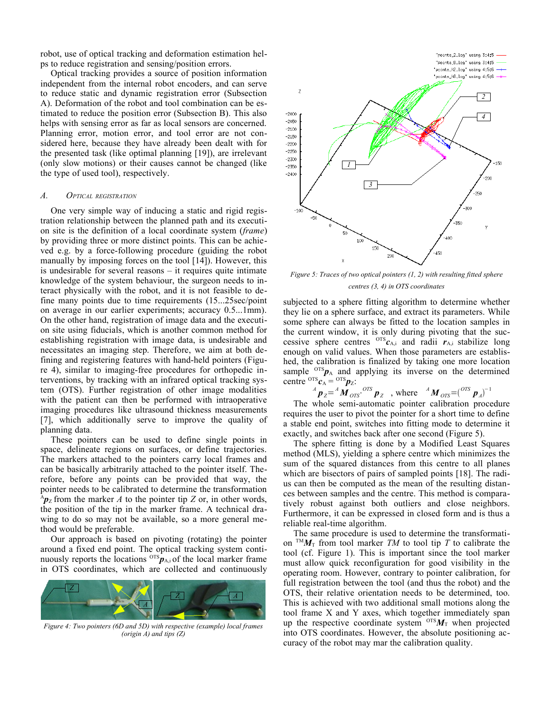robot, use of optical tracking and deformation estimation helps to reduce registration and sensing/position errors.

Optical tracking provides a source of position information independent from the internal robot encoders, and can serve to reduce static and dynamic registration error (Subsection A). Deformation of the robot and tool combination can be estimated to reduce the position error (Subsection B). This also helps with sensing error as far as local sensors are concerned. Planning error, motion error, and tool error are not considered here, because they have already been dealt with for the presented task (like optimal planning [19]), are irrelevant (only slow motions) or their causes cannot be changed (like the type of used tool), respectively.

## *A. OPTICAL REGISTRATION*

One very simple way of inducing a static and rigid registration relationship between the planned path and its execution site is the definition of a local coordinate system (*frame*) by providing three or more distinct points. This can be achieved e.g. by a force-following procedure (guiding the robot manually by imposing forces on the tool [14]). However, this is undesirable for several reasons – it requires quite intimate knowledge of the system behaviour, the surgeon needs to interact physically with the robot, and it is not feasible to define many points due to time requirements (15...25sec/point on average in our earlier experiments; accuracy 0.5...1mm). On the other hand, registration of image data and the execution site using fiducials, which is another common method for establishing registration with image data, is undesirable and necessitates an imaging step. Therefore, we aim at both defining and registering features with hand-held pointers ([Figu](#page-3-1)[re](#page-3-1) 4), similar to imaging-free procedures for orthopedic interventions, by tracking with an infrared optical tracking system (OTS). Further registration of other image modalities with the patient can then be performed with intraoperative imaging procedures like ultrasound thickness measurements [7], which additionally serve to improve the quality of planning data.

These pointers can be used to define single points in space, delineate regions on surfaces, or define trajectories. The markers attached to the pointers carry local frames and can be basically arbitrarily attached to the pointer itself. Therefore, before any points can be provided that way, the pointer needs to be calibrated to determine the transformation  $^{\text{A}}\mathbf{p}_z$  from the marker *A* to the pointer tip *Z* or, in other words, the position of the tip in the marker frame. A technical drawing to do so may not be available, so a more general method would be preferable.

Our approach is based on pivoting (rotating) the pointer around a fixed end point. The optical tracking system continuously reports the locations  $OTS_{\boldsymbol{p}_{A,i}}$  of the local marker frame in OTS coordinates, which are collected and continuously

<span id="page-3-1"></span>

*Figure 4: Two pointers (6D and 5D) with respective (example) local frames (origin A) and tips (Z)*



<span id="page-3-0"></span>*Figure 5: Traces of two optical pointers (1, 2) with resulting fitted sphere centres (3, 4) in OTS coordinates*

subjected to a sphere fitting algorithm to determine whether they lie on a sphere surface, and extract its parameters. While some sphere can always be fitted to the location samples in the current window, it is only during pivoting that the successive sphere centres  ${}^{OTS}c_{A,i}$  and radii  $r_{A,i}$  stabilize long enough on valid values. When those parameters are established, the calibration is finalized by taking one more location sample  $\text{or}$ <sub> $\mathbf{p}_A$ </sub> and applying its inverse on the determined centre  ${}^{\text{OTS}}c_A = {}^{\text{OTS}}p_Z$ :

$$
\boldsymbol{p}_z = {}^A \boldsymbol{M}_{\text{OTS}}. {}^{\text{OTS}} \boldsymbol{p}_z \quad , \text{ where } \quad {}^A \boldsymbol{M}_{\text{OTS}} = ({}^{\text{OTS}} \boldsymbol{p}_A)^{-1}
$$

The whole semi-automatic pointer calibration procedure requires the user to pivot the pointer for a short time to define a stable end point, switches into fitting mode to determine it exactly, and switches back after one second ([Figure](#page-3-0) 5).

*A*

The sphere fitting is done by a Modified Least Squares method (MLS), yielding a sphere centre which minimizes the sum of the squared distances from this centre to all planes which are bisectors of pairs of sampled points [18]. The radius can then be computed as the mean of the resulting distances between samples and the centre. This method is comparatively robust against both outliers and close neighbors. Furthermore, it can be expressed in closed form and is thus a reliable real-time algorithm.

The same procedure is used to determine the transformation  $TM_T$  from tool marker *TM* to tool tip *T* to calibrate the tool (cf. [Figure](#page-0-0) 1). This is important since the tool marker must allow quick reconfiguration for good visibility in the operating room. However, contrary to pointer calibration, for full registration between the tool (and thus the robot) and the OTS, their relative orientation needs to be determined, too. This is achieved with two additional small motions along the tool frame X and Y axes, which together immediately span up the respective coordinate system  $O(TsM_T)$  when projected into OTS coordinates. However, the absolute positioning accuracy of the robot may mar the calibration quality.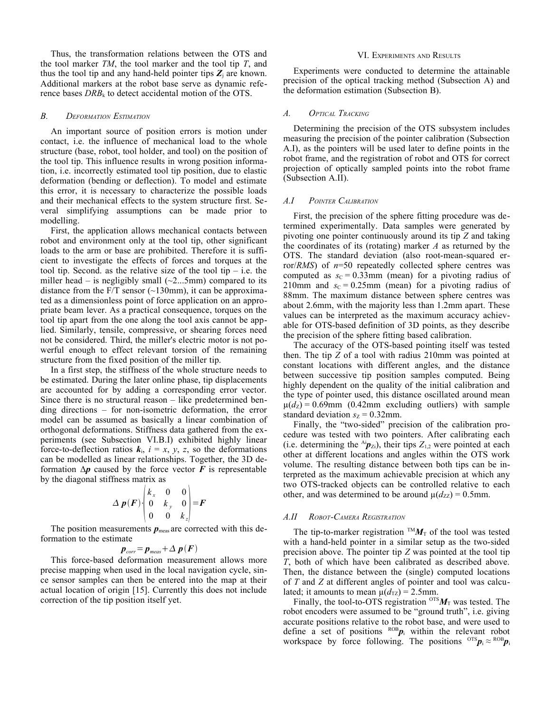Thus, the transformation relations between the OTS and the tool marker *TM*, the tool marker and the tool tip *T*, and thus the tool tip and any hand-held pointer tips  $Z_j$  are known. Additional markers at the robot base serve as dynamic reference bases  $DRB_k$  to detect accidental motion of the OTS.

#### *B. DEFORMATION ESTIMATION*

An important source of position errors is motion under contact, i.e. the influence of mechanical load to the whole structure (base, robot, tool holder, and tool) on the position of the tool tip. This influence results in wrong position information, i.e. incorrectly estimated tool tip position, due to elastic deformation (bending or deflection). To model and estimate this error, it is necessary to characterize the possible loads and their mechanical effects to the system structure first. Several simplifying assumptions can be made prior to modelling.

First, the application allows mechanical contacts between robot and environment only at the tool tip, other significant loads to the arm or base are prohibited. Therefore it is sufficient to investigate the effects of forces and torques at the tool tip. Second. as the relative size of the tool tip  $-$  i.e. the miller head – is negligibly small  $(\sim 2...5$ mm) compared to its distance from the  $F/T$  sensor ( $\sim$ 130mm), it can be approximated as a dimensionless point of force application on an appropriate beam lever. As a practical consequence, torques on the tool tip apart from the one along the tool axis cannot be applied. Similarly, tensile, compressive, or shearing forces need not be considered. Third, the miller's electric motor is not powerful enough to effect relevant torsion of the remaining structure from the fixed position of the miller tip.

In a first step, the stiffness of the whole structure needs to be estimated. During the later online phase, tip displacements are accounted for by adding a corresponding error vector. Since there is no structural reason – like predetermined bending directions – for non-isometric deformation, the error model can be assumed as basically a linear combination of orthogonal deformations. Stiffness data gathered from the experiments (see Subsection VI.B.I) exhibited highly linear force-to-deflection ratios  $\mathbf{k}_i$ ,  $i = x, y, z$ , so the deformations can be modelled as linear relationships. Together, the 3D deformation  $\Delta p$  caused by the force vector  $\bm{F}$  is representable by the diagonal stiffness matrix as

$$
\Delta p(F) \begin{pmatrix} k_x & 0 & 0 \\ 0 & k_y & 0 \\ 0 & 0 & k_z \end{pmatrix} = F
$$

The position measurements  $p_{\text{meas}}$  are corrected with this deformation to the estimate

$$
\boldsymbol{p}_{\textit{corr}} = \boldsymbol{p}_{\textit{meas}} + \Delta \boldsymbol{p}(\boldsymbol{F})
$$

This force-based deformation measurement allows more precise mapping when used in the local navigation cycle, since sensor samples can then be entered into the map at their actual location of origin [15]. Currently this does not include correction of the tip position itself yet.

#### VI. EXPERIMENTS AND RESULTS

Experiments were conducted to determine the attainable precision of the optical tracking method (Subsection A) and the deformation estimation (Subsection B).

## *A. OPTICAL TRACKING*

Determining the precision of the OTS subsystem includes measuring the precision of the pointer calibration (Subsection A.I), as the pointers will be used later to define points in the robot frame, and the registration of robot and OTS for correct projection of optically sampled points into the robot frame (Subsection A.II).

## *A.I POINTER CALIBRATION*

First, the precision of the sphere fitting procedure was determined experimentally. Data samples were generated by pivoting one pointer continuously around its tip *Z* and taking the coordinates of its (rotating) marker *A* as returned by the OTS. The standard deviation (also root-mean-squared error/*RMS*) of *n*=50 repeatedly collected sphere centres was computed as  $s_c = 0.33$ mm (mean) for a pivoting radius of 210mm and  $s_c = 0.25$ mm (mean) for a pivoting radius of 88mm. The maximum distance between sphere centres was about 2.6mm, with the majority less than 1.2mm apart. These values can be interpreted as the maximum accuracy achievable for OTS-based definition of 3D points, as they describe the precision of the sphere fitting based calibration.

The accuracy of the OTS-based pointing itself was tested then. The tip *Z* of a tool with radius 210mm was pointed at constant locations with different angles, and the distance between successive tip position samples computed. Being highly dependent on the quality of the initial calibration and the type of pointer used, this distance oscillated around mean  $\mu(d_z) = 0.69$ mm (0.42mm excluding outliers) with sample standard deviation  $s_Z = 0.32$ mm.

Finally, the "two-sided" precision of the calibration procedure was tested with two pointers. After calibrating each (i.e. determining the  $A^i p_{zi}$ ), their tips  $Z_{1,2}$  were pointed at each other at different locations and angles within the OTS work volume. The resulting distance between both tips can be interpreted as the maximum achievable precision at which any two OTS-tracked objects can be controlled relative to each other, and was determined to be around  $\mu(d_{ZZ}) = 0.5$ mm.

## *A.II ROBOT-CAMERA REGISTRATION*

The tip-to-marker registration  $^{TM}M_T$  of the tool was tested with a hand-held pointer in a similar setup as the two-sided precision above. The pointer tip *Z* was pointed at the tool tip *T*, both of which have been calibrated as described above. Then, the distance between the (single) computed locations of *T* and *Z* at different angles of pointer and tool was calculated; it amounts to mean  $\mu(d_{\text{TZ}}) = 2.5$ mm.

Finally, the tool-to-OTS registration  ${}^{OTS}M_T$  was tested. The robot encoders were assumed to be "ground truth", i.e. giving accurate positions relative to the robot base, and were used to define a set of positions  $ROB$ *p*<sub>i</sub> within the relevant robot workspace by force following. The positions  $\text{or}_p \approx \text{ROB}_p$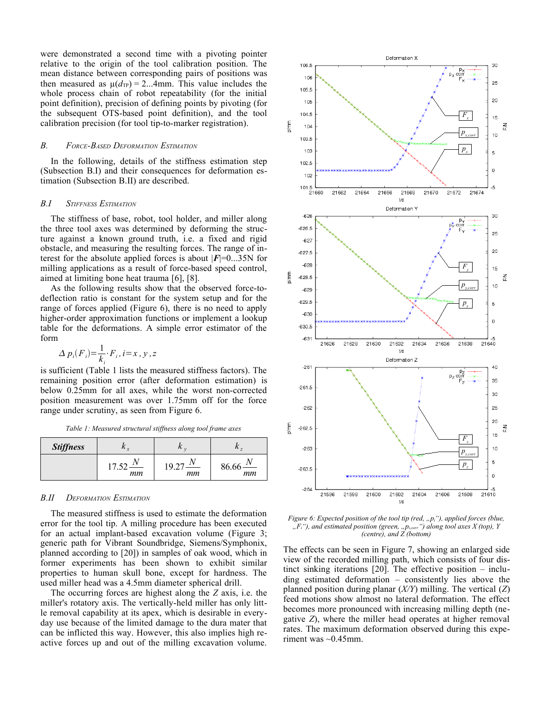were demonstrated a second time with a pivoting pointer relative to the origin of the tool calibration position. The mean distance between corresponding pairs of positions was then measured as  $\mu(d_{TP}) = 2...4$ mm. This value includes the whole process chain of robot repeatability (for the initial point definition), precision of defining points by pivoting (for the subsequent OTS-based point definition), and the tool calibration precision (for tool tip-to-marker registration).

## *B. FORCE-BASED DEFORMATION ESTIMATION*

In the following, details of the stiffness estimation step (Subsection B.I) and their consequences for deformation estimation (Subsection B.II) are described.

## *B.I STIFFNESS ESTIMATION*

The stiffness of base, robot, tool holder, and miller along the three tool axes was determined by deforming the structure against a known ground truth, i.e. a fixed and rigid obstacle, and measuring the resulting forces. The range of interest for the absolute applied forces is about  $|F|=0...35N$  for milling applications as a result of force-based speed control, aimed at limiting bone heat trauma [6], [8].

As the following results show that the observed force-todeflection ratio is constant for the system setup and for the range of forces applied [\(Figure](#page-5-0) 6), there is no need to apply higher-order approximation functions or implement a lookup table for the deformations. A simple error estimator of the form

$$
\Delta p_i(F_i) = \frac{1}{k_i} \cdot F_i, i = x, y, z
$$

is sufficient ([Table](#page-5-1) 1 lists the measured stiffness factors). The remaining position error (after deformation estimation) is below 0.25mm for all axes, while the worst non-corrected position measurement was over 1.75mm off for the force range under scrutiny, as seen from [Figure](#page-5-0) 6.

<span id="page-5-1"></span>*Table 1: Measured structural stiffness along tool frame axes*

| <b>Stiffness</b> | $\mathbf{v}$ | $\mathbf{I}$ |                          |
|------------------|--------------|--------------|--------------------------|
|                  | 175<br>mm    | 102<br>mm    | 0666<br>$\sqrt{ }$<br>mm |

### *B.II DEFORMATION ESTIMATION*

The measured stiffness is used to estimate the deformation error for the tool tip. A milling procedure has been executed for an actual implant-based excavation volume ([Figure](#page-2-0) 3; generic path for Vibrant Soundbridge, Siemens/Symphonix, planned according to [20]) in samples of oak wood, which in former experiments has been shown to exhibit similar properties to human skull bone, except for hardness. The used miller head was a 4.5mm diameter spherical drill.

The occurring forces are highest along the *Z* axis, i.e. the miller's rotatory axis. The vertically-held miller has only little removal capability at its apex, which is desirable in everyday use because of the limited damage to the dura mater that can be inflicted this way. However, this also implies high reactive forces up and out of the milling excavation volume.



<span id="page-5-0"></span>*Figure 6: Expected position of the tool tip (red, "pi"), applied forces (blue, "Fi"), and estimated position (green, "pi,corr") along tool axes X (top), Y (centre), and Z (bottom)*

The effects can be seen in [Figure](#page-6-0) 7, showing an enlarged side view of the recorded milling path, which consists of four distinct sinking iterations [20]. The effective position – including estimated deformation – consistently lies above the planned position during planar (*X/Y*) milling. The vertical (*Z*) feed motions show almost no lateral deformation. The effect becomes more pronounced with increasing milling depth (negative *Z*), where the miller head operates at higher removal rates. The maximum deformation observed during this experiment was ~0.45mm.